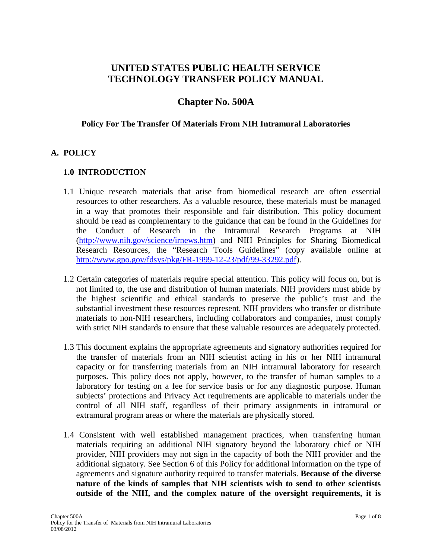# **UNITED STATES PUBLIC HEALTH SERVICE TECHNOLOGY TRANSFER POLICY MANUAL**

# **Chapter No. 500A**

### **Policy For The Transfer Of Materials From NIH Intramural Laboratories**

# **A. POLICY**

# **1.0 INTRODUCTION**

- 1.1 Unique research materials that arise from biomedical research are often essential resources to other researchers. As a valuable resource, these materials must be managed in a way that promotes their responsible and fair distribution. This policy document should be read as complementary to the guidance that can be found in the Guidelines for the Conduct of Research in the Intramural Research Programs at NIH [\(http://www.nih.gov/science/irnews.htm\)](http://www.nih.gov/science/irnews.htm) and NIH Principles for Sharing Biomedical Research Resources, the "Research Tools Guidelines" (copy available online at [http://www.gpo.gov/fdsys/pkg/FR-1999-12-23/pdf/99-33292.pdf\)](http://www.gpo.gov/fdsys/pkg/FR-1999-12-23/pdf/99-33292.pdf).
- 1.2 Certain categories of materials require special attention. This policy will focus on, but is not limited to, the use and distribution of human materials. NIH providers must abide by the highest scientific and ethical standards to preserve the public's trust and the substantial investment these resources represent. NIH providers who transfer or distribute materials to non-NIH researchers, including collaborators and companies, must comply with strict NIH standards to ensure that these valuable resources are adequately protected.
- 1.3 This document explains the appropriate agreements and signatory authorities required for the transfer of materials from an NIH scientist acting in his or her NIH intramural capacity or for transferring materials from an NIH intramural laboratory for research purposes. This policy does not apply, however, to the transfer of human samples to a laboratory for testing on a fee for service basis or for any diagnostic purpose. Human subjects' protections and Privacy Act requirements are applicable to materials under the control of all NIH staff, regardless of their primary assignments in intramural or extramural program areas or where the materials are physically stored.
- 1.4 Consistent with well established management practices, when transferring human materials requiring an additional NIH signatory beyond the laboratory chief or NIH provider, NIH providers may not sign in the capacity of both the NIH provider and the additional signatory. See Section 6 of this Policy for additional information on the type of agreements and signature authority required to transfer materials. **Because of the diverse nature of the kinds of samples that NIH scientists wish to send to other scientists outside of the NIH, and the complex nature of the oversight requirements, it is**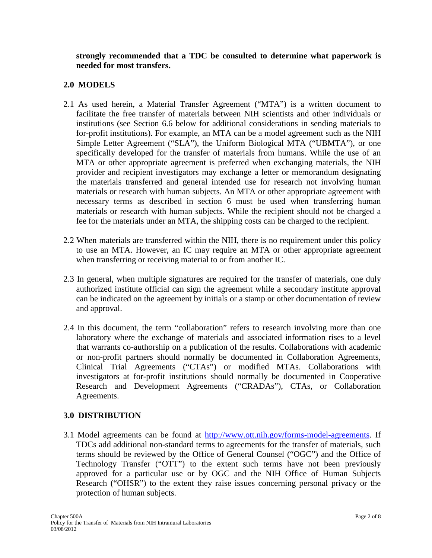**strongly recommended that a TDC be consulted to determine what paperwork is needed for most transfers.**

# **2.0 MODELS**

- 2.1 As used herein, a Material Transfer Agreement ("MTA") is a written document to facilitate the free transfer of materials between NIH scientists and other individuals or institutions (see Section 6.6 below for additional considerations in sending materials to for-profit institutions). For example, an MTA can be a model agreement such as the NIH Simple Letter Agreement ("SLA"), the Uniform Biological MTA ("UBMTA"), or one specifically developed for the transfer of materials from humans. While the use of an MTA or other appropriate agreement is preferred when exchanging materials, the NIH provider and recipient investigators may exchange a letter or memorandum designating the materials transferred and general intended use for research not involving human materials or research with human subjects. An MTA or other appropriate agreement with necessary terms as described in section 6 must be used when transferring human materials or research with human subjects. While the recipient should not be charged a fee for the materials under an MTA, the shipping costs can be charged to the recipient.
- 2.2 When materials are transferred within the NIH, there is no requirement under this policy to use an MTA. However, an IC may require an MTA or other appropriate agreement when transferring or receiving material to or from another IC.
- 2.3 In general, when multiple signatures are required for the transfer of materials, one duly authorized institute official can sign the agreement while a secondary institute approval can be indicated on the agreement by initials or a stamp or other documentation of review and approval.
- 2.4 In this document, the term "collaboration" refers to research involving more than one laboratory where the exchange of materials and associated information rises to a level that warrants co-authorship on a publication of the results. Collaborations with academic or non-profit partners should normally be documented in Collaboration Agreements, Clinical Trial Agreements ("CTAs") or modified MTAs. Collaborations with investigators at for-profit institutions should normally be documented in Cooperative Research and Development Agreements ("CRADAs"), CTAs, or Collaboration Agreements.

# **3.0 DISTRIBUTION**

3.1 Model agreements can be found at [http://www.ott.nih.gov/forms-model-agreements.](http://www.ott.nih.gov/forms-model-agreements) If TDCs add additional non-standard terms to agreements for the transfer of materials, such terms should be reviewed by the Office of General Counsel ("OGC") and the Office of Technology Transfer ("OTT") to the extent such terms have not been previously approved for a particular use or by OGC and the NIH Office of Human Subjects Research ("OHSR") to the extent they raise issues concerning personal privacy or the protection of human subjects.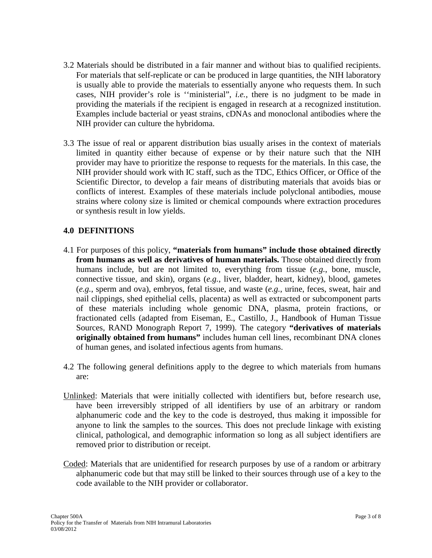- 3.2 Materials should be distributed in a fair manner and without bias to qualified recipients. For materials that self-replicate or can be produced in large quantities, the NIH laboratory is usually able to provide the materials to essentially anyone who requests them. In such cases, NIH provider's role is ''ministerial", *i.e.*, there is no judgment to be made in providing the materials if the recipient is engaged in research at a recognized institution. Examples include bacterial or yeast strains, cDNAs and monoclonal antibodies where the NIH provider can culture the hybridoma.
- 3.3 The issue of real or apparent distribution bias usually arises in the context of materials limited in quantity either because of expense or by their nature such that the NIH provider may have to prioritize the response to requests for the materials. In this case, the NIH provider should work with IC staff, such as the TDC, Ethics Officer, or Office of the Scientific Director, to develop a fair means of distributing materials that avoids bias or conflicts of interest. Examples of these materials include polyclonal antibodies, mouse strains where colony size is limited or chemical compounds where extraction procedures or synthesis result in low yields.

# **4.0 DEFINITIONS**

- 4.1 For purposes of this policy, **"materials from humans" include those obtained directly from humans as well as derivatives of human materials.** Those obtained directly from humans include, but are not limited to, everything from tissue (*e.g.*, bone, muscle, connective tissue, and skin), organs (*e.g.*, liver, bladder, heart, kidney), blood, gametes (*e.g.*, sperm and ova), embryos, fetal tissue, and waste (*e.g.*, urine, feces, sweat, hair and nail clippings, shed epithelial cells, placenta) as well as extracted or subcomponent parts of these materials including whole genomic DNA, plasma, protein fractions, or fractionated cells (adapted from Eiseman, E., Castillo, J., Handbook of Human Tissue Sources, RAND Monograph Report 7, 1999). The category **"derivatives of materials originally obtained from humans"** includes human cell lines, recombinant DNA clones of human genes, and isolated infectious agents from humans.
- 4.2 The following general definitions apply to the degree to which materials from humans are:
- Unlinked: Materials that were initially collected with identifiers but, before research use, have been irreversibly stripped of all identifiers by use of an arbitrary or random alphanumeric code and the key to the code is destroyed, thus making it impossible for anyone to link the samples to the sources. This does not preclude linkage with existing clinical, pathological, and demographic information so long as all subject identifiers are removed prior to distribution or receipt.
- Coded: Materials that are unidentified for research purposes by use of a random or arbitrary alphanumeric code but that may still be linked to their sources through use of a key to the code available to the NIH provider or collaborator.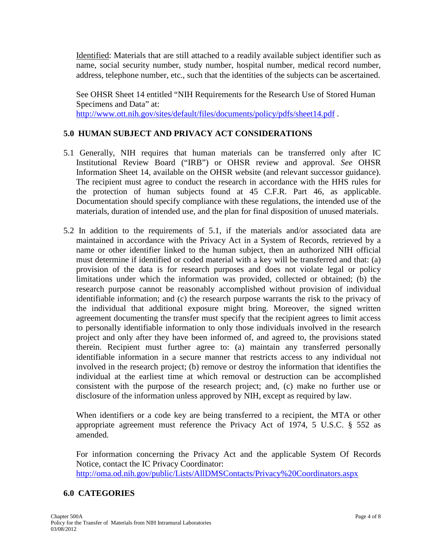Identified: Materials that are still attached to a readily available subject identifier such as name, social security number, study number, hospital number, medical record number, address, telephone number, etc., such that the identities of the subjects can be ascertained.

See OHSR Sheet 14 entitled "NIH Requirements for the Research Use of Stored Human Specimens and Data" at: <http://www.ott.nih.gov/sites/default/files/documents/policy/pdfs/sheet14.pdf>.

## **5.0 HUMAN SUBJECT AND PRIVACY ACT CONSIDERATIONS**

- 5.1 Generally, NIH requires that human materials can be transferred only after IC Institutional Review Board ("IRB") or OHSR review and approval. *See* OHSR Information Sheet 14, available on the OHSR website (and relevant successor guidance). The recipient must agree to conduct the research in accordance with the HHS rules for the protection of human subjects found at 45 C.F.R. Part 46, as applicable. Documentation should specify compliance with these regulations, the intended use of the materials, duration of intended use, and the plan for final disposition of unused materials.
- 5.2 In addition to the requirements of 5.1, if the materials and/or associated data are maintained in accordance with the Privacy Act in a System of Records, retrieved by a name or other identifier linked to the human subject, then an authorized NIH official must determine if identified or coded material with a key will be transferred and that: (a) provision of the data is for research purposes and does not violate legal or policy limitations under which the information was provided, collected or obtained; (b) the research purpose cannot be reasonably accomplished without provision of individual identifiable information; and (c) the research purpose warrants the risk to the privacy of the individual that additional exposure might bring. Moreover, the signed written agreement documenting the transfer must specify that the recipient agrees to limit access to personally identifiable information to only those individuals involved in the research project and only after they have been informed of, and agreed to, the provisions stated therein. Recipient must further agree to: (a) maintain any transferred personally identifiable information in a secure manner that restricts access to any individual not involved in the research project; (b) remove or destroy the information that identifies the individual at the earliest time at which removal or destruction can be accomplished consistent with the purpose of the research project; and, (c) make no further use or disclosure of the information unless approved by NIH, except as required by law.

When identifiers or a code key are being transferred to a recipient, the MTA or other appropriate agreement must reference the Privacy Act of 1974, 5 U.S.C. § 552 as amended.

For information concerning the Privacy Act and the applicable System Of Records Notice, contact the IC Privacy Coordinator: <http://oma.od.nih.gov/public/Lists/AllDMSContacts/Privacy%20Coordinators.aspx>

### **6.0 CATEGORIES**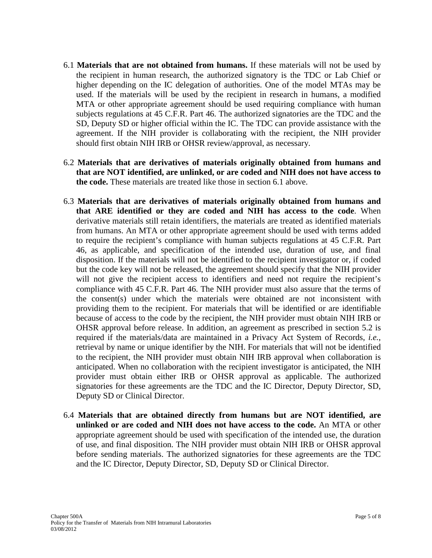- 6.1 **Materials that are not obtained from humans.** If these materials will not be used by the recipient in human research, the authorized signatory is the TDC or Lab Chief or higher depending on the IC delegation of authorities. One of the model MTAs may be used. If the materials will be used by the recipient in research in humans, a modified MTA or other appropriate agreement should be used requiring compliance with human subjects regulations at 45 C.F.R. Part 46. The authorized signatories are the TDC and the SD, Deputy SD or higher official within the IC. The TDC can provide assistance with the agreement. If the NIH provider is collaborating with the recipient, the NIH provider should first obtain NIH IRB or OHSR review/approval, as necessary.
- 6.2 **Materials that are derivatives of materials originally obtained from humans and that are NOT identified, are unlinked, or are coded and NIH does not have access to the code.** These materials are treated like those in section 6.1 above.
- 6.3 **Materials that are derivatives of materials originally obtained from humans and that ARE identified or they are coded and NIH has access to the code**. When derivative materials still retain identifiers, the materials are treated as identified materials from humans. An MTA or other appropriate agreement should be used with terms added to require the recipient's compliance with human subjects regulations at 45 C.F.R. Part 46, as applicable, and specification of the intended use, duration of use, and final disposition. If the materials will not be identified to the recipient investigator or, if coded but the code key will not be released, the agreement should specify that the NIH provider will not give the recipient access to identifiers and need not require the recipient's compliance with 45 C.F.R. Part 46. The NIH provider must also assure that the terms of the consent(s) under which the materials were obtained are not inconsistent with providing them to the recipient. For materials that will be identified or are identifiable because of access to the code by the recipient, the NIH provider must obtain NIH IRB or OHSR approval before release. In addition, an agreement as prescribed in section 5.2 is required if the materials/data are maintained in a Privacy Act System of Records, *i.e.*, retrieval by name or unique identifier by the NIH. For materials that will not be identified to the recipient, the NIH provider must obtain NIH IRB approval when collaboration is anticipated. When no collaboration with the recipient investigator is anticipated, the NIH provider must obtain either IRB or OHSR approval as applicable. The authorized signatories for these agreements are the TDC and the IC Director, Deputy Director, SD, Deputy SD or Clinical Director.
- 6.4 **Materials that are obtained directly from humans but are NOT identified, are unlinked or are coded and NIH does not have access to the code.** An MTA or other appropriate agreement should be used with specification of the intended use, the duration of use, and final disposition. The NIH provider must obtain NIH IRB or OHSR approval before sending materials. The authorized signatories for these agreements are the TDC and the IC Director, Deputy Director, SD, Deputy SD or Clinical Director.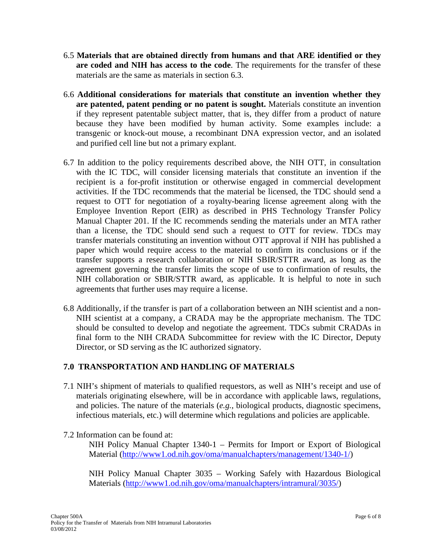- 6.5 **Materials that are obtained directly from humans and that ARE identified or they are coded and NIH has access to the code**. The requirements for the transfer of these materials are the same as materials in section 6.3.
- 6.6 **Additional considerations for materials that constitute an invention whether they are patented, patent pending or no patent is sought.** Materials constitute an invention if they represent patentable subject matter, that is, they differ from a product of nature because they have been modified by human activity. Some examples include: a transgenic or knock-out mouse, a recombinant DNA expression vector, and an isolated and purified cell line but not a primary explant.
- 6.7 In addition to the policy requirements described above, the NIH OTT, in consultation with the IC TDC, will consider licensing materials that constitute an invention if the recipient is a for-profit institution or otherwise engaged in commercial development activities. If the TDC recommends that the material be licensed, the TDC should send a request to OTT for negotiation of a royalty-bearing license agreement along with the Employee Invention Report (EIR) as described in PHS Technology Transfer Policy Manual Chapter 201. If the IC recommends sending the materials under an MTA rather than a license, the TDC should send such a request to OTT for review. TDCs may transfer materials constituting an invention without OTT approval if NIH has published a paper which would require access to the material to confirm its conclusions or if the transfer supports a research collaboration or NIH SBIR/STTR award, as long as the agreement governing the transfer limits the scope of use to confirmation of results, the NIH collaboration or SBIR/STTR award, as applicable. It is helpful to note in such agreements that further uses may require a license.
- 6.8 Additionally, if the transfer is part of a collaboration between an NIH scientist and a non-NIH scientist at a company, a CRADA may be the appropriate mechanism. The TDC should be consulted to develop and negotiate the agreement. TDCs submit CRADAs in final form to the NIH CRADA Subcommittee for review with the IC Director, Deputy Director, or SD serving as the IC authorized signatory.

# **7.0 TRANSPORTATION AND HANDLING OF MATERIALS**

7.1 NIH's shipment of materials to qualified requestors, as well as NIH's receipt and use of materials originating elsewhere, will be in accordance with applicable laws, regulations, and policies. The nature of the materials (*e.g.*, biological products, diagnostic specimens, infectious materials, etc.) will determine which regulations and policies are applicable.

### 7.2 Information can be found at:

NIH Policy Manual Chapter 1340-1 – Permits for Import or Export of Biological Material [\(http://www1.od.nih.gov/oma/manualchapters/management/1340-1/\)](http://www1.od.nih.gov/oma/manualchapters/management/1340-1/)

NIH Policy Manual Chapter 3035 – Working Safely with Hazardous Biological Materials [\(http://www1.od.nih.gov/oma/manualchapters/intramural/3035/\)](http://www1.od.nih.gov/oma/manualchapters/intramural/3035/)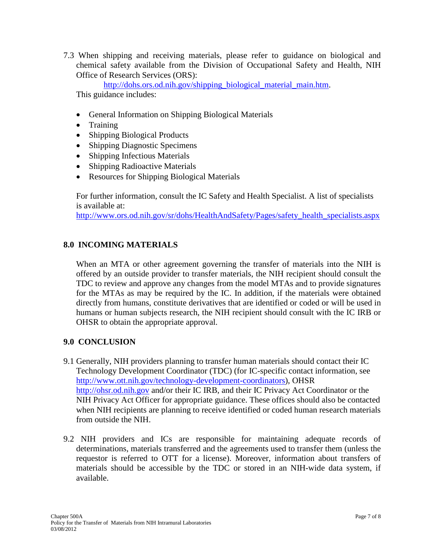7.3 When shipping and receiving materials, please refer to guidance on biological and chemical safety available from the Division of Occupational Safety and Health, NIH Office of Research Services (ORS):

[http://dohs.ors.od.nih.gov/shipping\\_biological\\_material\\_main.htm.](http://dohs.ors.od.nih.gov/shipping_biological_material_main.htm) This guidance includes:

- General Information on Shipping Biological Materials
- Training
- Shipping Biological Products
- Shipping Diagnostic Specimens
- Shipping Infectious Materials
- Shipping Radioactive Materials
- Resources for Shipping Biological Materials

For further information, consult the IC Safety and Health Specialist. A list of specialists is available at:

[http://www.ors.od.nih.gov/sr/dohs/HealthAndSafety/Pages/safety\\_health\\_specialists.aspx](http://www.ors.od.nih.gov/sr/dohs/HealthAndSafety/Pages/safety_health_specialists.aspx)

# **8.0 INCOMING MATERIALS**

When an MTA or other agreement governing the transfer of materials into the NIH is offered by an outside provider to transfer materials, the NIH recipient should consult the TDC to review and approve any changes from the model MTAs and to provide signatures for the MTAs as may be required by the IC. In addition, if the materials were obtained directly from humans, constitute derivatives that are identified or coded or will be used in humans or human subjects research, the NIH recipient should consult with the IC IRB or OHSR to obtain the appropriate approval.

### **9.0 CONCLUSION**

- 9.1 Generally, NIH providers planning to transfer human materials should contact their IC Technology Development Coordinator (TDC) (for IC-specific contact information, see [http://www.ott.nih.gov/technology-development-coordinators\)](http://www.ott.nih.gov/technology-development-coordinators), OHSR [http://ohsr.od.nih.gov](http://ohsr.od.nih.gov/) and/or their IC IRB, and their IC Privacy Act Coordinator or the NIH Privacy Act Officer for appropriate guidance. These offices should also be contacted when NIH recipients are planning to receive identified or coded human research materials from outside the NIH.
- 9.2 NIH providers and ICs are responsible for maintaining adequate records of determinations, materials transferred and the agreements used to transfer them (unless the requestor is referred to OTT for a license). Moreover, information about transfers of materials should be accessible by the TDC or stored in an NIH-wide data system, if available.